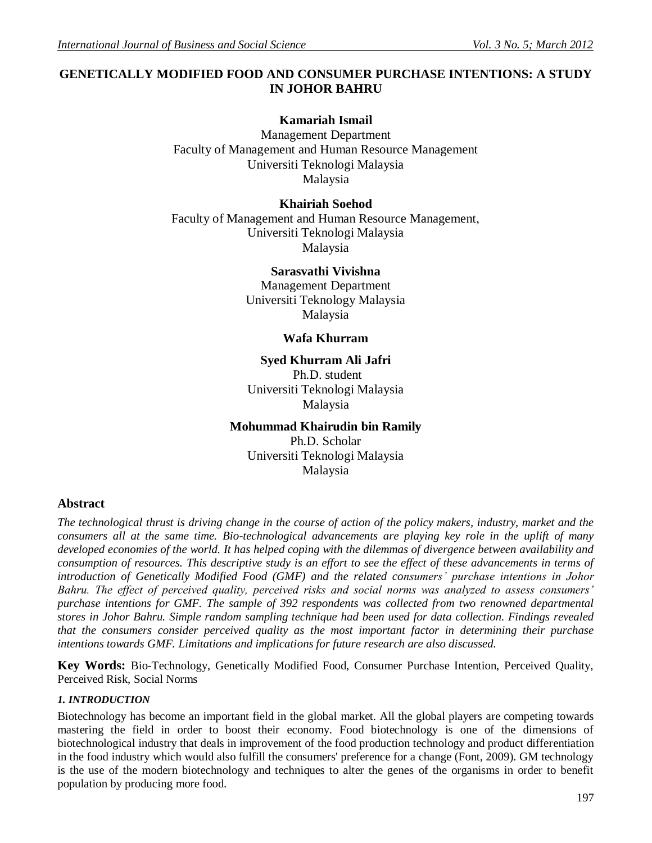## **GENETICALLY MODIFIED FOOD AND CONSUMER PURCHASE INTENTIONS: A STUDY IN JOHOR BAHRU**

# **Kamariah Ismail**

Management Department Faculty of Management and Human Resource Management Universiti Teknologi Malaysia Malaysia

## **Khairiah Soehod**

Faculty of Management and Human Resource Management, Universiti Teknologi Malaysia Malaysia

## **Sarasvathi Vivishna**

Management Department Universiti Teknology Malaysia Malaysia

## **Wafa Khurram**

## **Syed Khurram Ali Jafri**

Ph.D. student Universiti Teknologi Malaysia Malaysia

## **Mohummad Khairudin bin Ramily**

Ph.D. Scholar Universiti Teknologi Malaysia Malaysia

## **Abstract**

*The technological thrust is driving change in the course of action of the policy makers, industry, market and the consumers all at the same time. Bio-technological advancements are playing key role in the uplift of many developed economies of the world. It has helped coping with the dilemmas of divergence between availability and consumption of resources. This descriptive study is an effort to see the effect of these advancements in terms of introduction of Genetically Modified Food (GMF) and the related consumers' purchase intentions in Johor Bahru. The effect of perceived quality, perceived risks and social norms was analyzed to assess consumers' purchase intentions for GMF. The sample of 392 respondents was collected from two renowned departmental stores in Johor Bahru. Simple random sampling technique had been used for data collection. Findings revealed that the consumers consider perceived quality as the most important factor in determining their purchase intentions towards GMF. Limitations and implications for future research are also discussed.* 

**Key Words:** Bio-Technology, Genetically Modified Food, Consumer Purchase Intention, Perceived Quality, Perceived Risk, Social Norms

### *1. INTRODUCTION*

Biotechnology has become an important field in the global market. All the global players are competing towards mastering the field in order to boost their economy. Food biotechnology is one of the dimensions of biotechnological industry that deals in improvement of the food production technology and product differentiation in the food industry which would also fulfill the consumers' preference for a change (Font, 2009). GM technology is the use of the modern biotechnology and techniques to alter the genes of the organisms in order to benefit population by producing more food.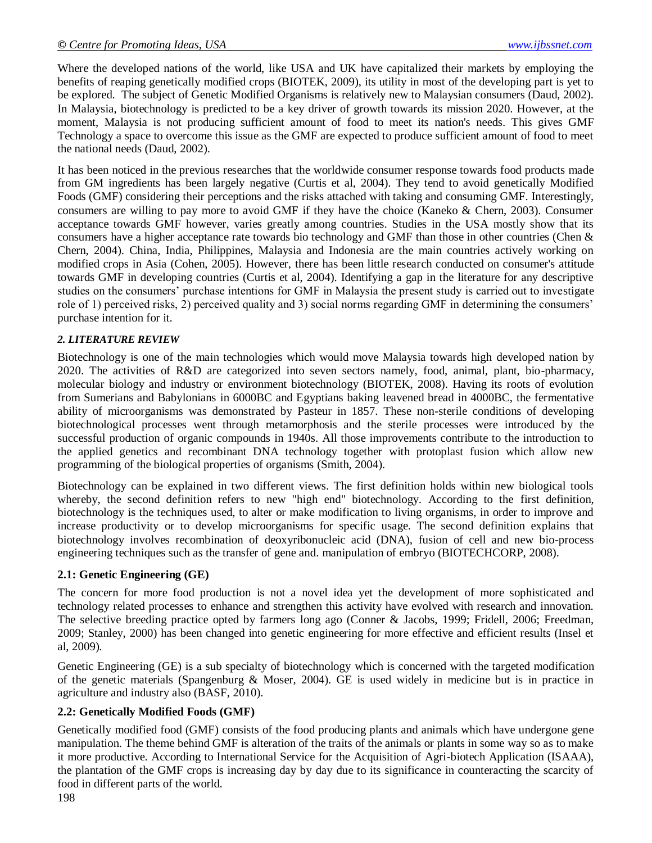Where the developed nations of the world, like USA and UK have capitalized their markets by employing the benefits of reaping genetically modified crops (BIOTEK, 2009), its utility in most of the developing part is yet to be explored. The subject of Genetic Modified Organisms is relatively new to Malaysian consumers (Daud, 2002). In Malaysia, biotechnology is predicted to be a key driver of growth towards its mission 2020. However, at the moment, Malaysia is not producing sufficient amount of food to meet its nation's needs. This gives GMF Technology a space to overcome this issue as the GMF are expected to produce sufficient amount of food to meet the national needs (Daud, 2002).

It has been noticed in the previous researches that the worldwide consumer response towards food products made from GM ingredients has been largely negative (Curtis et al, 2004). They tend to avoid genetically Modified Foods (GMF) considering their perceptions and the risks attached with taking and consuming GMF. Interestingly, consumers are willing to pay more to avoid GMF if they have the choice (Kaneko & Chern, 2003). Consumer acceptance towards GMF however, varies greatly among countries. Studies in the USA mostly show that its consumers have a higher acceptance rate towards bio technology and GMF than those in other countries (Chen  $\&$ Chern, 2004). China, India, Philippines, Malaysia and Indonesia are the main countries actively working on modified crops in Asia (Cohen, 2005). However, there has been little research conducted on consumer's attitude towards GMF in developing countries (Curtis et al, 2004). Identifying a gap in the literature for any descriptive studies on the consumers" purchase intentions for GMF in Malaysia the present study is carried out to investigate role of 1) perceived risks, 2) perceived quality and 3) social norms regarding GMF in determining the consumers" purchase intention for it.

### *2. LITERATURE REVIEW*

Biotechnology is one of the main technologies which would move Malaysia towards high developed nation by 2020. The activities of R&D are categorized into seven sectors namely, food, animal, plant, bio-pharmacy, molecular biology and industry or environment biotechnology (BIOTEK, 2008). Having its roots of evolution from Sumerians and Babylonians in 6000BC and Egyptians baking leavened bread in 4000BC, the fermentative ability of microorganisms was demonstrated by Pasteur in 1857. These non-sterile conditions of developing biotechnological processes went through metamorphosis and the sterile processes were introduced by the successful production of organic compounds in 1940s. All those improvements contribute to the introduction to the applied genetics and recombinant DNA technology together with protoplast fusion which allow new programming of the biological properties of organisms (Smith, 2004).

Biotechnology can be explained in two different views. The first definition holds within new biological tools whereby, the second definition refers to new "high end" biotechnology. According to the first definition, biotechnology is the techniques used, to alter or make modification to living organisms, in order to improve and increase productivity or to develop microorganisms for specific usage. The second definition explains that biotechnology involves recombination of deoxyribonucleic acid (DNA), fusion of cell and new bio-process engineering techniques such as the transfer of gene and. manipulation of embryo (BIOTECHCORP, 2008).

### **2.1: Genetic Engineering (GE)**

The concern for more food production is not a novel idea yet the development of more sophisticated and technology related processes to enhance and strengthen this activity have evolved with research and innovation. The selective breeding practice opted by farmers long ago (Conner & Jacobs, 1999; Fridell, 2006; Freedman, 2009; Stanley, 2000) has been changed into genetic engineering for more effective and efficient results (Insel et al, 2009).

Genetic Engineering (GE) is a sub specialty of biotechnology which is concerned with the targeted modification of the genetic materials (Spangenburg & Moser, 2004). GE is used widely in medicine but is in practice in agriculture and industry also (BASF, 2010).

### **2.2: Genetically Modified Foods (GMF)**

Genetically modified food (GMF) consists of the food producing plants and animals which have undergone gene manipulation. The theme behind GMF is alteration of the traits of the animals or plants in some way so as to make it more productive. According to International Service for the Acquisition of Agri-biotech Application (ISAAA), the plantation of the GMF crops is increasing day by day due to its significance in counteracting the scarcity of food in different parts of the world.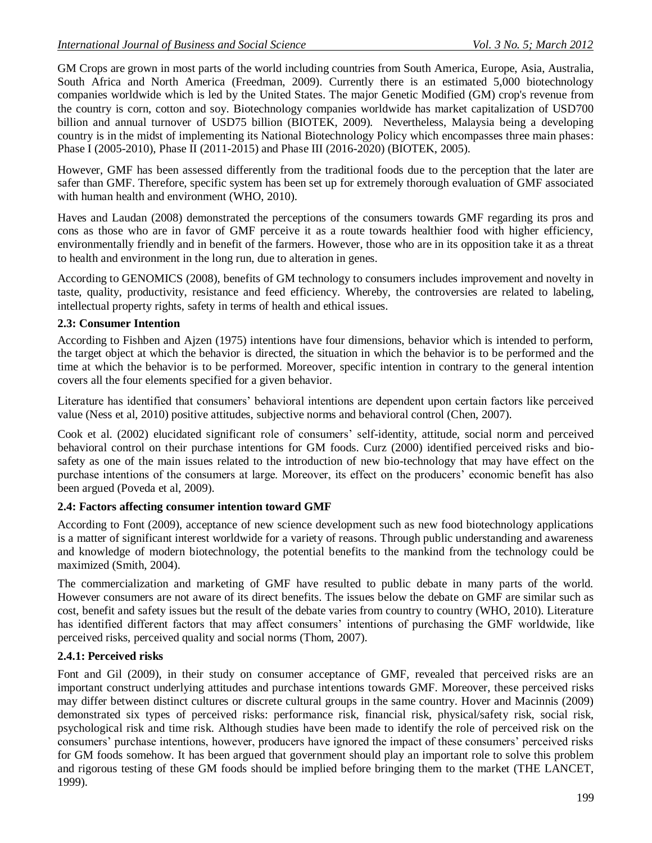GM Crops are grown in most parts of the world including countries from South America, Europe, Asia, Australia, South Africa and North America (Freedman, 2009). Currently there is an estimated 5,000 biotechnology companies worldwide which is led by the United States. The major Genetic Modified (GM) crop's revenue from the country is corn, cotton and soy. Biotechnology companies worldwide has market capitalization of USD700 billion and annual turnover of USD75 billion (BIOTEK, 2009). Nevertheless, Malaysia being a developing country is in the midst of implementing its National Biotechnology Policy which encompasses three main phases: Phase I (2005-2010), Phase II (2011-2015) and Phase III (2016-2020) (BIOTEK, 2005).

However, GMF has been assessed differently from the traditional foods due to the perception that the later are safer than GMF. Therefore, specific system has been set up for extremely thorough evaluation of GMF associated with human health and environment (WHO, 2010).

Haves and Laudan (2008) demonstrated the perceptions of the consumers towards GMF regarding its pros and cons as those who are in favor of GMF perceive it as a route towards healthier food with higher efficiency, environmentally friendly and in benefit of the farmers. However, those who are in its opposition take it as a threat to health and environment in the long run, due to alteration in genes.

According to GENOMICS (2008), benefits of GM technology to consumers includes improvement and novelty in taste, quality, productivity, resistance and feed efficiency. Whereby, the controversies are related to labeling, intellectual property rights, safety in terms of health and ethical issues.

#### **2.3: Consumer Intention**

According to Fishben and Ajzen (1975) intentions have four dimensions, behavior which is intended to perform, the target object at which the behavior is directed, the situation in which the behavior is to be performed and the time at which the behavior is to be performed. Moreover, specific intention in contrary to the general intention covers all the four elements specified for a given behavior.

Literature has identified that consumers" behavioral intentions are dependent upon certain factors like perceived value (Ness et al, 2010) positive attitudes, subjective norms and behavioral control (Chen, 2007).

Cook et al. (2002) elucidated significant role of consumers" self-identity, attitude, social norm and perceived behavioral control on their purchase intentions for GM foods. Curz (2000) identified perceived risks and biosafety as one of the main issues related to the introduction of new bio-technology that may have effect on the purchase intentions of the consumers at large. Moreover, its effect on the producers" economic benefit has also been argued (Poveda et al, 2009).

### **2.4: Factors affecting consumer intention toward GMF**

According to Font (2009), acceptance of new science development such as new food biotechnology applications is a matter of significant interest worldwide for a variety of reasons. Through public understanding and awareness and knowledge of modern biotechnology, the potential benefits to the mankind from the technology could be maximized (Smith, 2004).

The commercialization and marketing of GMF have resulted to public debate in many parts of the world. However consumers are not aware of its direct benefits. The issues below the debate on GMF are similar such as cost, benefit and safety issues but the result of the debate varies from country to country (WHO, 2010). Literature has identified different factors that may affect consumers' intentions of purchasing the GMF worldwide, like perceived risks, perceived quality and social norms (Thom, 2007).

### **2.4.1: Perceived risks**

Font and Gil (2009), in their study on consumer acceptance of GMF, revealed that perceived risks are an important construct underlying attitudes and purchase intentions towards GMF. Moreover, these perceived risks may differ between distinct cultures or discrete cultural groups in the same country. Hover and Macinnis (2009) demonstrated six types of perceived risks: performance risk, financial risk, physical/safety risk, social risk, psychological risk and time risk. Although studies have been made to identify the role of perceived risk on the consumers" purchase intentions, however, producers have ignored the impact of these consumers" perceived risks for GM foods somehow. It has been argued that government should play an important role to solve this problem and rigorous testing of these GM foods should be implied before bringing them to the market (THE LANCET, 1999).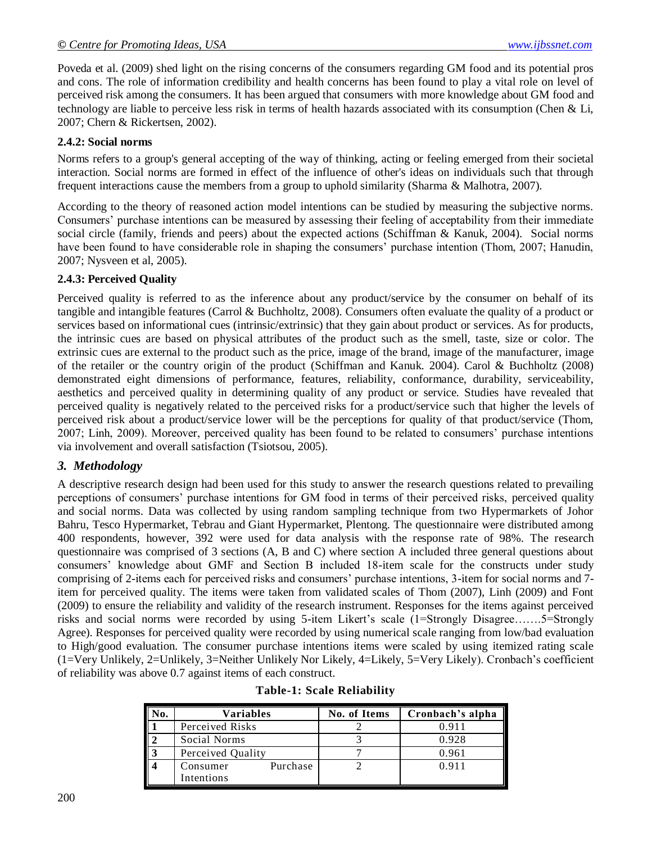Poveda et al. (2009) shed light on the rising concerns of the consumers regarding GM food and its potential pros and cons. The role of information credibility and health concerns has been found to play a vital role on level of perceived risk among the consumers. It has been argued that consumers with more knowledge about GM food and technology are liable to perceive less risk in terms of health hazards associated with its consumption (Chen & Li, 2007; Chern & Rickertsen, 2002).

#### **2.4.2: Social norms**

Norms refers to a group's general accepting of the way of thinking, acting or feeling emerged from their societal interaction. Social norms are formed in effect of the influence of other's ideas on individuals such that through frequent interactions cause the members from a group to uphold similarity (Sharma & Malhotra, 2007).

According to the theory of reasoned action model intentions can be studied by measuring the subjective norms. Consumers" purchase intentions can be measured by assessing their feeling of acceptability from their immediate social circle (family, friends and peers) about the expected actions (Schiffman & Kanuk, 2004). Social norms have been found to have considerable role in shaping the consumers' purchase intention (Thom, 2007; Hanudin, 2007; Nysveen et al, 2005).

#### **2.4.3: Perceived Quality**

Perceived quality is referred to as the inference about any product/service by the consumer on behalf of its tangible and intangible features (Carrol & Buchholtz, 2008). Consumers often evaluate the quality of a product or services based on informational cues (intrinsic/extrinsic) that they gain about product or services. As for products, the intrinsic cues are based on physical attributes of the product such as the smell, taste, size or color. The extrinsic cues are external to the product such as the price, image of the brand, image of the manufacturer, image of the retailer or the country origin of the product (Schiffman and Kanuk. 2004). Carol & Buchholtz (2008) demonstrated eight dimensions of performance, features, reliability, conformance, durability, serviceability, aesthetics and perceived quality in determining quality of any product or service. Studies have revealed that perceived quality is negatively related to the perceived risks for a product/service such that higher the levels of perceived risk about a product/service lower will be the perceptions for quality of that product/service (Thom, 2007; Linh, 2009). Moreover, perceived quality has been found to be related to consumers" purchase intentions via involvement and overall satisfaction (Tsiotsou, 2005).

### *3. Methodology*

A descriptive research design had been used for this study to answer the research questions related to prevailing perceptions of consumers" purchase intentions for GM food in terms of their perceived risks, perceived quality and social norms. Data was collected by using random sampling technique from two Hypermarkets of Johor Bahru, Tesco Hypermarket, Tebrau and Giant Hypermarket, Plentong. The questionnaire were distributed among 400 respondents, however, 392 were used for data analysis with the response rate of 98%. The research questionnaire was comprised of 3 sections (A, B and C) where section A included three general questions about consumers" knowledge about GMF and Section B included 18-item scale for the constructs under study comprising of 2-items each for perceived risks and consumers" purchase intentions, 3-item for social norms and 7 item for perceived quality. The items were taken from validated scales of Thom (2007), Linh (2009) and Font (2009) to ensure the reliability and validity of the research instrument. Responses for the items against perceived risks and social norms were recorded by using 5-item Likert's scale (1=Strongly Disagree……..5=Strongly Agree). Responses for perceived quality were recorded by using numerical scale ranging from low/bad evaluation to High/good evaluation. The consumer purchase intentions items were scaled by using itemized rating scale (1=Very Unlikely, 2=Unlikely, 3=Neither Unlikely Nor Likely, 4=Likely, 5=Very Likely). Cronbach"s coefficient of reliability was above 0.7 against items of each construct.

|      | <b>Variables</b>     | No. of Items | Cronbach's alpha |
|------|----------------------|--------------|------------------|
|      | Perceived Risks      |              | 0.911            |
|      | Social Norms         |              | 0.928            |
| ll 3 | Perceived Quality    |              | 0.961            |
|      | Purchase<br>Consumer |              | 0.911            |
|      | Intentions           |              |                  |

|  |  | <b>Table-1: Scale Reliability</b> |
|--|--|-----------------------------------|
|--|--|-----------------------------------|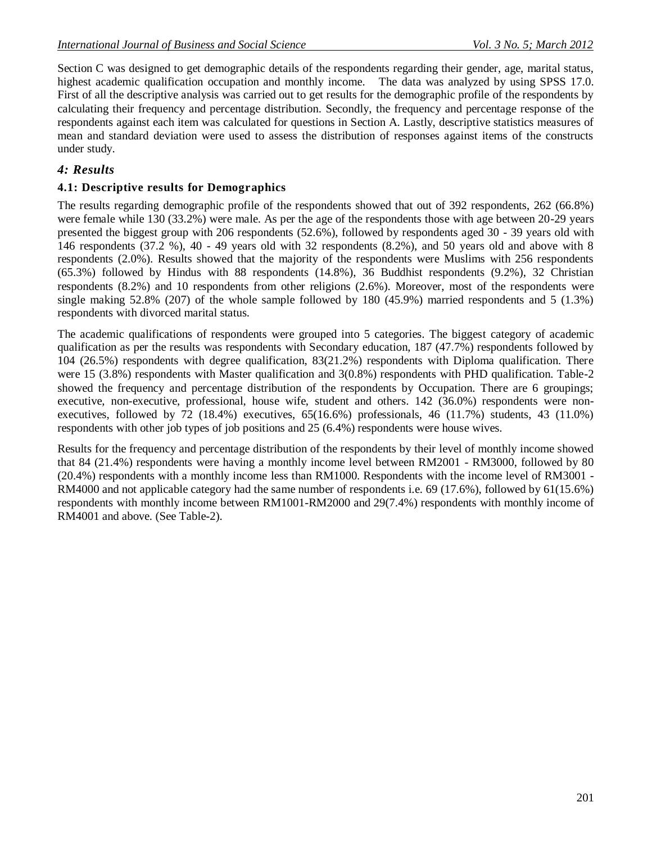Section C was designed to get demographic details of the respondents regarding their gender, age, marital status, highest academic qualification occupation and monthly income. The data was analyzed by using SPSS 17.0. First of all the descriptive analysis was carried out to get results for the demographic profile of the respondents by calculating their frequency and percentage distribution. Secondly, the frequency and percentage response of the respondents against each item was calculated for questions in Section A. Lastly, descriptive statistics measures of mean and standard deviation were used to assess the distribution of responses against items of the constructs under study.

### *4: Results*

#### **4.1: Descriptive results for Demographics**

The results regarding demographic profile of the respondents showed that out of 392 respondents, 262 (66.8%) were female while 130 (33.2%) were male. As per the age of the respondents those with age between 20-29 years presented the biggest group with 206 respondents (52.6%), followed by respondents aged 30 - 39 years old with 146 respondents (37.2 %), 40 - 49 years old with 32 respondents (8.2%), and 50 years old and above with 8 respondents (2.0%). Results showed that the majority of the respondents were Muslims with 256 respondents (65.3%) followed by Hindus with 88 respondents (14.8%), 36 Buddhist respondents (9.2%), 32 Christian respondents (8.2%) and 10 respondents from other religions (2.6%). Moreover, most of the respondents were single making 52.8% (207) of the whole sample followed by 180 (45.9%) married respondents and 5 (1.3%) respondents with divorced marital status.

The academic qualifications of respondents were grouped into 5 categories. The biggest category of academic qualification as per the results was respondents with Secondary education, 187 (47.7%) respondents followed by 104 (26.5%) respondents with degree qualification, 83(21.2%) respondents with Diploma qualification. There were 15 (3.8%) respondents with Master qualification and 3(0.8%) respondents with PHD qualification. Table-2 showed the frequency and percentage distribution of the respondents by Occupation. There are 6 groupings; executive, non-executive, professional, house wife, student and others. 142 (36.0%) respondents were nonexecutives, followed by 72 (18.4%) executives, 65(16.6%) professionals, 46 (11.7%) students, 43 (11.0%) respondents with other job types of job positions and 25 (6.4%) respondents were house wives.

Results for the frequency and percentage distribution of the respondents by their level of monthly income showed that 84 (21.4%) respondents were having a monthly income level between RM2001 - RM3000, followed by 80 (20.4%) respondents with a monthly income less than RM1000. Respondents with the income level of RM3001 - RM4000 and not applicable category had the same number of respondents i.e. 69 (17.6%), followed by 61(15.6%) respondents with monthly income between RM1001-RM2000 and 29(7.4%) respondents with monthly income of RM4001 and above. (See Table-2).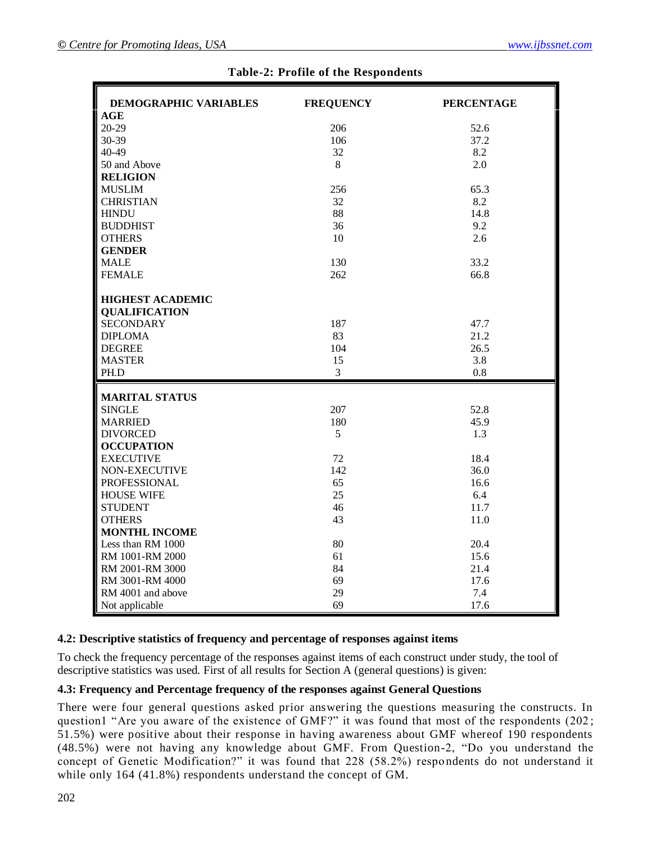| <b>DEMOGRAPHIC VARIABLES</b> | <b>FREQUENCY</b> | <b>PERCENTAGE</b> |
|------------------------------|------------------|-------------------|
| AGE                          |                  |                   |
| $20 - 29$                    | 206              | 52.6              |
| 30-39                        | 106              | 37.2              |
| 40-49                        | 32               | 8.2               |
| 50 and Above                 | 8                | 2.0               |
| <b>RELIGION</b>              |                  |                   |
| <b>MUSLIM</b>                | 256              | 65.3              |
| <b>CHRISTIAN</b>             | 32               | 8.2               |
| <b>HINDU</b>                 | 88               | 14.8              |
| <b>BUDDHIST</b>              | 36               | 9.2               |
| <b>OTHERS</b>                | 10               | 2.6               |
| <b>GENDER</b>                |                  |                   |
| <b>MALE</b>                  | 130              | 33.2              |
| <b>FEMALE</b>                | 262              | 66.8              |
|                              |                  |                   |
| <b>HIGHEST ACADEMIC</b>      |                  |                   |
| <b>QUALIFICATION</b>         |                  |                   |
| <b>SECONDARY</b>             | 187              | 47.7              |
| <b>DIPLOMA</b>               | 83               | 21.2              |
| <b>DEGREE</b>                | 104              | 26.5              |
| <b>MASTER</b>                | 15               | 3.8               |
| PH.D                         | $\overline{3}$   | 0.8               |
|                              |                  |                   |
| <b>MARITAL STATUS</b>        |                  |                   |
| <b>SINGLE</b>                | 207              | 52.8              |
| <b>MARRIED</b>               | 180              | 45.9              |
| <b>DIVORCED</b>              | 5                | 1.3               |
| <b>OCCUPATION</b>            |                  |                   |
| <b>EXECUTIVE</b>             | 72               | 18.4              |
| NON-EXECUTIVE                | 142              | 36.0              |
| PROFESSIONAL                 | 65               | 16.6              |
| <b>HOUSE WIFE</b>            | 25               | 6.4               |
| <b>STUDENT</b>               | 46               | 11.7              |
| <b>OTHERS</b>                | 43               | 11.0              |
| <b>MONTHL INCOME</b>         |                  |                   |
| Less than RM 1000            | 80               | 20.4              |
| RM 1001-RM 2000              | 61               | 15.6              |
| RM 2001-RM 3000              | 84               | 21.4              |
| RM 3001-RM 4000              | 69               | 17.6              |
| RM 4001 and above            | 29               | 7.4               |
| Not applicable               | 69               | 17.6              |

#### **4.2: Descriptive statistics of frequency and percentage of responses against items**

To check the frequency percentage of the responses against items of each construct under study, the tool of descriptive statistics was used. First of all results for Section A (general questions) is given:

#### **4.3: Frequency and Percentage frequency of the responses against General Questions**

There were four general questions asked prior answering the questions measuring the constructs. In question1 "Are you aware of the existence of GMF?" it was found that most of the respondents (202;  $51.5\%$ ) were positive about their response in having awareness about GMF whereof 190 respondents (48.5%) were not having any knowledge about GMF. From Question-2, "Do you understand the concept of Genetic Modification?" it was found that 228 (58.2%) respondents do not understand it while only 164 (41.8%) respondents understand the concept of GM.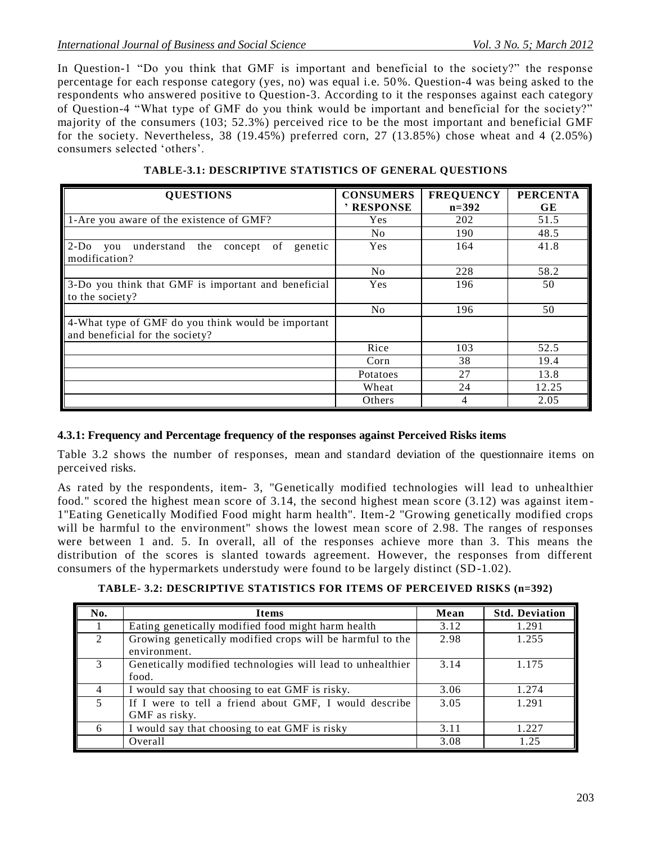In Question-1 "Do you think that GMF is important and beneficial to the society?" the response percentage for each response category (yes, no) was equal i.e. 50%. Question-4 was being asked to the respondents who answered positive to Question-3. According to it the responses against each category of Question-4 "What type of GMF do you think would be important and beneficial for the society?" majority of the consumers (103; 52.3%) perceived rice to be the most important and beneficial GMF for the society. Nevertheless,  $38$  (19.45%) preferred corn,  $27$  (13.85%) chose wheat and 4 (2.05%) consumers selected "others".

| <b>QUESTIONS</b>                                                                                  | <b>CONSUMERS</b><br>' RESPONSE | <b>FREQUENCY</b><br>$n = 392$ | <b>PERCENTA</b><br>GE |
|---------------------------------------------------------------------------------------------------|--------------------------------|-------------------------------|-----------------------|
| 1-Are you aware of the existence of GMF?                                                          | Yes                            | 202                           | 51.5                  |
|                                                                                                   | N <sub>0</sub>                 | 190                           | 48.5                  |
| $2-Do$<br>understand<br>the<br>of<br>concept<br>genetic<br>you<br>modification?                   | Yes                            | 164                           | 41.8                  |
|                                                                                                   | No                             | 228                           | 58.2                  |
| 3-Do you think that GMF is important and beneficial<br>to the society?                            | Yes                            | 196                           | 50                    |
|                                                                                                   | No                             | 196                           | 50                    |
| $\parallel$ 4-What type of GMF do you think would be important<br>and beneficial for the society? |                                |                               |                       |
|                                                                                                   | Rice                           | 103                           | 52.5                  |
|                                                                                                   | Corn                           | 38                            | 19.4                  |
|                                                                                                   | Potatoes                       | 27                            | 13.8                  |
|                                                                                                   | Wheat                          | 24                            | 12.25                 |
|                                                                                                   | Others                         | 4                             | 2.05                  |

**TABLE-3.1: DESCRIPTIVE STATISTICS OF GENERAL QUESTIONS**

### **4.3.1: Frequency and Percentage frequency of the responses against Perceived Risks items**

Table 3.2 shows the number of responses, mean and standard deviation of the questionnaire items on perceived risks.

As rated by the respondents, item- 3, "Genetically modified technologies will lead to unhealthier food." scored the highest mean score of 3.14, the second highest mean score (3.12) was against item-1"Eating Genetically Modified Food might harm health". Item-2 "Growing genetically modified crops will be harmful to the environment" shows the lowest mean score of 2.98. The ranges of responses were between 1 and. 5. In overall, all of the responses achieve more than 3. This means the distribution of the scores is slanted towards agreement. However, the responses from different consumers of the hypermarkets understudy were found to be largely distinct (SD-1.02).

| No.                         | <b>Items</b>                                               | Mean | <b>Std. Deviation</b> |
|-----------------------------|------------------------------------------------------------|------|-----------------------|
|                             | Eating genetically modified food might harm health         | 3.12 | 1.291                 |
| $\mathcal{D}_{\mathcal{L}}$ | Growing genetically modified crops will be harmful to the  | 2.98 | 1.255                 |
|                             | environment.                                               |      |                       |
| 3                           | Genetically modified technologies will lead to unhealthier | 3.14 | 1.175                 |
|                             | food.                                                      |      |                       |
| $\overline{4}$              | I would say that choosing to eat GMF is risky.             | 3.06 | 1.274                 |
| 5                           | If I were to tell a friend about GMF, I would describe     | 3.05 | 1.291                 |
|                             | GMF as risky.                                              |      |                       |
| 6                           | I would say that choosing to eat GMF is risky              | 3.11 | 1.227                 |
|                             | Overall                                                    | 3.08 | 1.25                  |

**TABLE- 3.2: DESCRIPTIVE STATISTICS FOR ITEMS OF PERCEIVED RISKS (n=392)**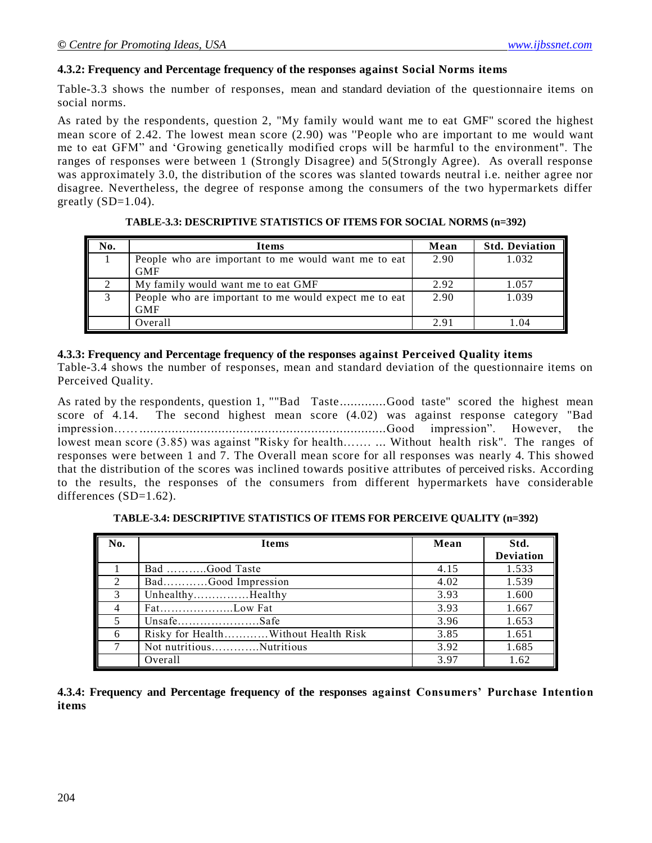#### **4.3.2: Frequency and Percentage frequency of the responses against Social Norms items**

Table-3.3 shows the number of responses, mean and standard deviation of the questionnaire items on social norms.

As rated by the respondents, question 2, "My family would want me to eat GMF" scored the highest mean score of 2.42. The lowest mean score (2.90) was ''People who are important to me would want me to eat GFM" and "Growing genetically modified crops will be harmful to the environment". The ranges of responses were between 1 (Strongly Disagree) and 5(Strongly Agree). As overall response was approximately 3.0, the distribution of the scores was slanted towards neutral i.e. neither agree nor disagree. Nevertheless, the degree of response among the consumers of the two hypermarkets differ greatly  $(SD=1.04)$ .

| No. | Items                                                 | Mean | <b>Std. Deviation</b> |
|-----|-------------------------------------------------------|------|-----------------------|
|     | People who are important to me would want me to eat   | 2.90 | 1.032                 |
|     | <b>GMF</b>                                            |      |                       |
|     | My family would want me to eat GMF                    | 2.92 | 1.057                 |
| 3   | People who are important to me would expect me to eat | 2.90 | 1.039                 |
|     | <b>GMF</b>                                            |      |                       |
|     | Overall                                               | 2.91 | .04                   |

**TABLE-3.3: DESCRIPTIVE STATISTICS OF ITEMS FOR SOCIAL NORMS (n=392)**

#### **4.3.3: Frequency and Percentage frequency of the responses against Perceived Quality items**

Table-3.4 shows the number of responses, mean and standard deviation of the questionnaire items on Perceived Quality.

As rated by the respondents, question 1, ""Bad Taste.............Good taste" scored the highest mean score of 4.14. The second highest mean score (4.02) was against response category "Bad impression…….....................................................................Good impression". However, the lowest mean score (3.85) was against "Risky for health……. ... Without health risk". The ranges of responses were between 1 and 7. The Overall mean score for all responses was nearly 4. This showed that the distribution of the scores was inclined towards positive attributes of perceived risks. According to the results, the responses of the consumers from different hypermarkets have considerable differences (SD=1.62).

**TABLE-3.4: DESCRIPTIVE STATISTICS OF ITEMS FOR PERCEIVE QUALITY (n=392)**

| No. | <b>Items</b>                        | Mean | Std.             |
|-----|-------------------------------------|------|------------------|
|     |                                     |      | <b>Deviation</b> |
|     | Bad Good Taste                      | 4.15 | 1.533            |
| 2   |                                     | 4.02 | 1.539            |
|     | UnhealthyHealthy                    | 3.93 | 1.600            |
|     |                                     | 3.93 | 1.667            |
|     |                                     | 3.96 | 1.653            |
| 6   | Risky for HealthWithout Health Risk | 3.85 | 1.651            |
|     | Not nutritiousNutritious            | 3.92 | 1.685            |
|     | Overall                             | 3.97 | 1.62             |

**4.3.4: Frequency and Percentage frequency of the responses against Consumers' Purchase Intention items**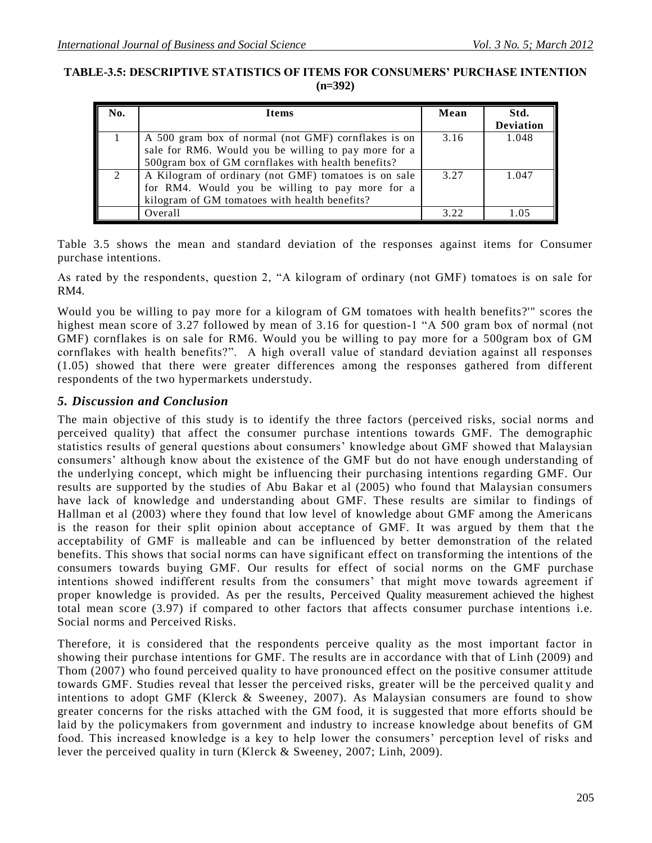### **TABLE-3.5: DESCRIPTIVE STATISTICS OF ITEMS FOR CONSUMERS' PURCHASE INTENTION (n=392)**

| No.                         | <b>Items</b>                                         | Mean | Std.             |
|-----------------------------|------------------------------------------------------|------|------------------|
|                             |                                                      |      | <b>Deviation</b> |
|                             | A 500 gram box of normal (not GMF) cornflakes is on  | 3.16 | 1.048            |
|                             | sale for RM6. Would you be willing to pay more for a |      |                  |
|                             | 500gram box of GM cornflakes with health benefits?   |      |                  |
| $\mathcal{D}_{\mathcal{L}}$ | A Kilogram of ordinary (not GMF) tomatoes is on sale | 3.27 | 1.047            |
|                             | for RM4. Would you be willing to pay more for a      |      |                  |
|                             | kilogram of GM tomatoes with health benefits?        |      |                  |
|                             | Overall                                              | 3.22 |                  |

Table 3.5 shows the mean and standard deviation of the responses against items for Consumer purchase intentions.

As rated by the respondents, question 2, "A kilogram of ordinary (not GMF) tomatoes is on sale for RM4.

Would you be willing to pay more for a kilogram of GM tomatoes with health benefits?'" scores the highest mean score of 3.27 followed by mean of 3.16 for question-1 "A 500 gram box of normal (not GMF) cornflakes is on sale for RM6. Would you be willing to pay more for a 500gram box of GM cornflakes with health benefits?". A high overall value of standard deviation against all responses (1.05) showed that there were greater differences among the responses gathered from different respondents of the two hypermarkets understudy.

## *5. Discussion and Conclusion*

The main objective of this study is to identify the three factors (perceived risks, social norms and perceived quality) that affect the consumer purchase intentions towards GMF. The demographic statistics results of general questions about consumers' knowledge about GMF showed that Malaysian consumers" although know about the existence of the GMF but do not have enough understanding of the underlying concept, which might be influencing their purchasing intentions regarding GMF. Our results are supported by the studies of Abu Bakar et al (2005) who found that Malaysian consumers have lack of knowledge and understanding about GMF. These results are similar to findings of Hallman et al (2003) where they found that low level of knowledge about GMF among the Americans is the reason for their split opinion about acceptance of GMF. It was argued by them that the acceptability of GMF is malleable and can be influenced by better demonstration of the related benefits. This shows that social norms can have significant effect on transforming the intentions of the consumers towards buying GMF. Our results for effect of social norms on the GMF purchase intentions showed indifferent results from the consumers' that might move towards agreement if proper knowledge is provided. As per the results, Perceived Quality measurement achieved the highest total mean score (3.97) if compared to other factors that affects consumer purchase intentions i.e. Social norms and Perceived Risks.

Therefore, it is considered that the respondents perceive quality as the most important factor in showing their purchase intentions for GMF. The results are in accordance with that of Linh (2009) and Thom (2007) who found perceived quality to have pronounced effect on the positive consumer attitude towards GMF. Studies reveal that lesser the perceived risks, greater will be the perceived qualit y and intentions to adopt GMF (Klerck & Sweeney, 2007). As Malaysian consumers are found to show greater concerns for the risks attached with the GM food, it is suggested that more efforts should be laid by the policymakers from government and industry to increase knowledge about benefits of GM food. This increased knowledge is a key to help lower the consumers' perception level of risks and lever the perceived quality in turn (Klerck & Sweeney, 2007; Linh, 2009).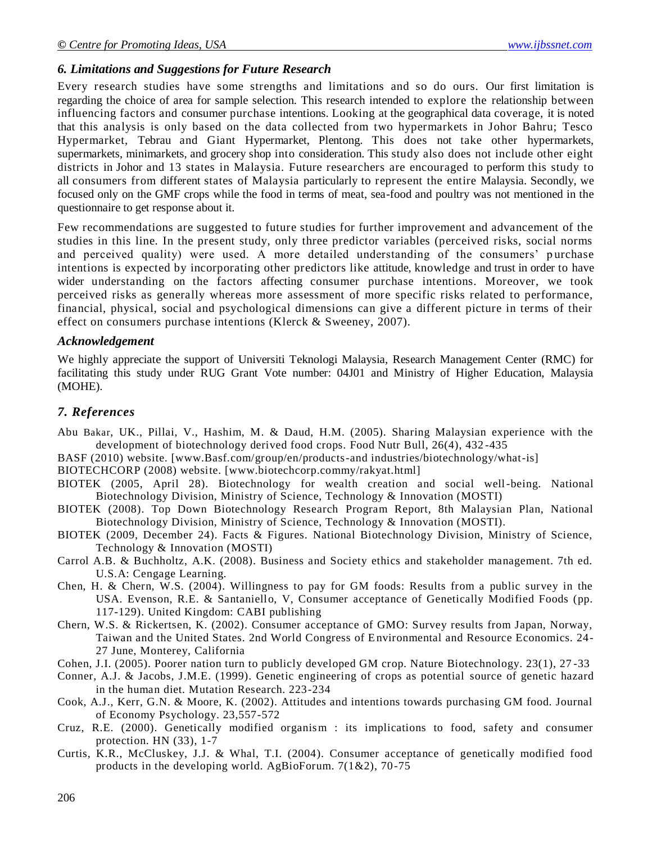#### *6. Limitations and Suggestions for Future Research*

Every research studies have some strengths and limitations and so do ours. Our first limitation is regarding the choice of area for sample selection. This research intended to explore the relationship between influencing factors and consumer purchase intentions. Looking at the geographical data coverage, it is noted that this analysis is only based on the data collected from two hypermarkets in Johor Bahru; Tesco Hypermarket, Tebrau and Giant Hypermarket, Plentong. This does not take other hypermarkets, supermarkets, minimarkets, and grocery shop into consideration. This study also does not include other eight districts in Johor and 13 states in Malaysia. Future researchers are encouraged to perform this study to all consumers from different states of Malaysia particularly to represent the entire Malaysia. Secondly, we focused only on the GMF crops while the food in terms of meat, sea-food and poultry was not mentioned in the questionnaire to get response about it.

Few recommendations are suggested to future studies for further improvement and advancement of the studies in this line. In the present study, only three predictor variables (perceived risks, social norms and perceived quality) were used. A more detailed understanding of the consumers' purchase intentions is expected by incorporating other predictors like attitude, knowledge and trust in order to have wider understanding on the factors affecting consumer purchase intentions. Moreover, we took perceived risks as generally whereas more assessment of more specific risks related to performance, financial, physical, social and psychological dimensions can give a different picture in terms of their effect on consumers purchase intentions (Klerck & Sweeney, 2007).

#### *Acknowledgement*

We highly appreciate the support of Universiti Teknologi Malaysia, Research Management Center (RMC) for facilitating this study under RUG Grant Vote number: 04J01 and Ministry of Higher Education, Malaysia (MOHE).

#### *7. References*

- Abu Bakar, UK., Pillai, V., Hashim, M. & Daud, H.M. (2005). Sharing Malaysian experience with the development of biotechnology derived food crops. Food Nutr Bull, 26(4), 432 -435
- BASF (2010) website. [www.Basf.com/group/en/products-and industries/biotechnology/what-is]

BIOTECHCORP (2008) website. [www.biotechcorp.commy/rakyat.html]

- BIOTEK (2005, April 28). Biotechnology for wealth creation and social well-being. National Biotechnology Division, Ministry of Science, Technology & Innovation (MOSTI)
- BIOTEK (2008). Top Down Biotechnology Research Program Report, 8th Malaysian Plan, National Biotechnology Division, Ministry of Science, Technology & Innovation (MOSTI).
- BIOTEK (2009, December 24). Facts & Figures. National Biotechnology Division, Ministry of Science, Technology & Innovation (MOSTI)
- Carrol A.B. & Buchholtz, A.K. (2008). Business and Society ethics and stakeholder management. 7th ed. U.S.A: Cengage Learning.
- Chen, H. & Chern, W.S. (2004). Willingness to pay for GM foods: Results from a public survey in the USA. Evenson, R.E. & Santaniello, V, Consumer acceptance of Genetically Modified Foods (pp. 117-129). United Kingdom: CABI publishing
- Chern, W.S. & Rickertsen, K. (2002). Consumer acceptance of GMO: Survey results from Japan, Norway, Taiwan and the United States. 2nd World Congress of Environmental and Resource Economics. 24- 27 June, Monterey, California
- Cohen, J.I. (2005). Poorer nation turn to publicly developed GM crop. Nature Biotechnology. 23(1), 27 -33
- Conner, A.J. & Jacobs, J.M.E. (1999). Genetic engineering of crops as potential source of genetic hazard in the human diet. Mutation Research. 223-234
- Cook, A.J., Kerr, G.N. & Moore, K. (2002). Attitudes and intentions towards purchasing GM food. Journal of Economy Psychology. 23,557-572
- Cruz, R.E. (2000). Genetically modified organism : its implications to food, safety and consumer protection. HN (33), 1-7
- Curtis, K.R., McCluskey, J.J. & Whal, T.I. (2004). Consumer acceptance of genetically modified food products in the developing world. AgBioForum. 7(1&2), 70-75